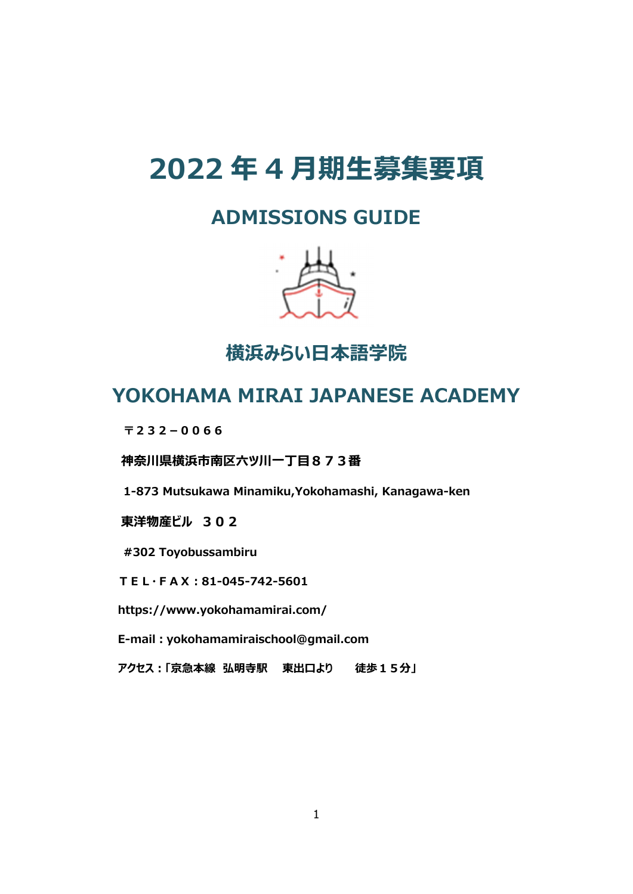# **2022 年 4 ⽉期⽣募集要項**

# **ADMISSIONS GUIDE**



**横浜みらい⽇本語学院** 

# **YOKOHAMA MIRAI JAPANESE ACADEMY**

**〒232-0066**

**神奈川県横浜市南区六ツ川⼀丁⽬873番** 

**1-873 Mutsukawa Minamiku,Yokohamashi, Kanagawa-ken** 

**東洋物産ビル 302** 

**#302 Toyobussambiru** 

**TEL・FAX︓81-045-742-5601** 

**https://www.yokohamamirai.com/** 

**E-mail︓yokohamamiraischool@gmail.com** 

**アクセス︓「京急本線 弘明寺駅 東出⼝より 徒歩15分」**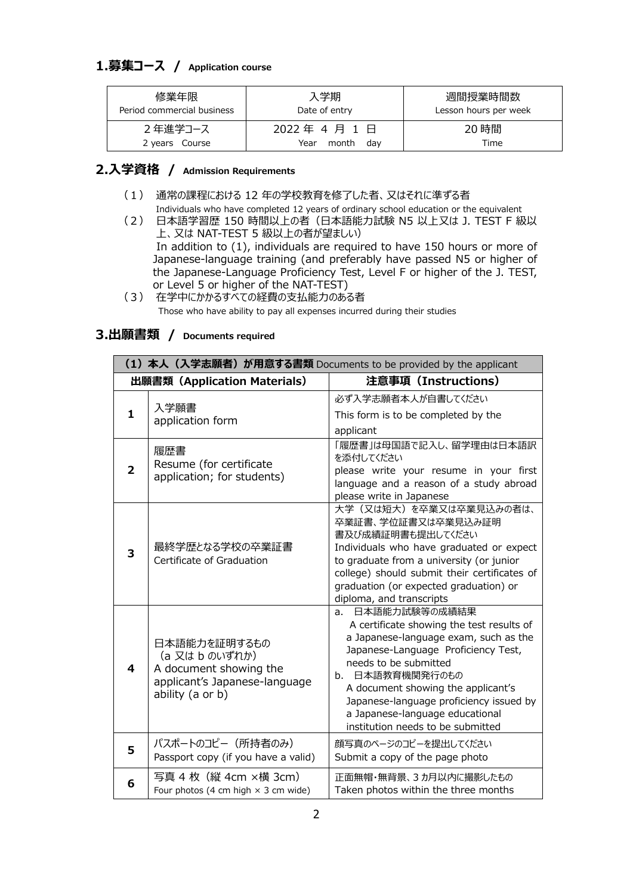### **1.募集コース / Application course**

| 修業年限                       | 入学期                               | 週間授業時間数               |
|----------------------------|-----------------------------------|-----------------------|
| Period commercial business | Date of entry                     | Lesson hours per week |
| 2年進学コース<br>2 years Course  | 2022年4月1日<br>Year<br>month<br>dav | 20 時間<br>Time         |

#### **2.⼊学資格 / Admission Requirements**

- (1) 通常の課程における 12 年の学校教育を修了した者、⼜はそれに準ずる者 Individuals who have completed 12 years of ordinary school education or the equivalent
- (2) ⽇本語学習歴 150 時間以上の者(⽇本語能⼒試験 N5 以上⼜は J. TEST F 級以 上、⼜は NAT-TEST 5 級以上の者が望ましい) In addition to (1), individuals are required to have 150 hours or more of Japanese-language training (and preferably have passed N5 or higher of the Japanese-Language Proficiency Test, Level F or higher of the J. TEST, or Level 5 or higher of the NAT-TEST)
- (3) 在学中にかかるすべての経費の支払能力のある者 Those who have ability to pay all expenses incurred during their studies

#### **3.出願書類 / Documents required**

| (1) 本人 (入学志願者) が用意する書類 Documents to be provided by the applicant |                                                                                                               |                                                                                                                                                                                                                                                                                                                                                    |
|------------------------------------------------------------------|---------------------------------------------------------------------------------------------------------------|----------------------------------------------------------------------------------------------------------------------------------------------------------------------------------------------------------------------------------------------------------------------------------------------------------------------------------------------------|
| 出願書類 (Application Materials)                                     |                                                                                                               | 注意事項 (Instructions)                                                                                                                                                                                                                                                                                                                                |
| 1                                                                | 入学願書<br>application form                                                                                      | 必ず入学志願者本人が自書してください<br>This form is to be completed by the<br>applicant                                                                                                                                                                                                                                                                             |
| 2                                                                | 履歴書<br>Resume (for certificate<br>application; for students)                                                  | 「履歴書」は母国語で記入し、留学理由は日本語訳<br>を添付してください<br>please write your resume in your first<br>language and a reason of a study abroad<br>please write in Japanese                                                                                                                                                                                              |
| 3                                                                | 最終学歴となる学校の卒業証書<br>Certificate of Graduation                                                                   | 大学(又は短大)を卒業又は卒業見込みの者は、<br>卒業証書、学位証書又は卒業見込み証明<br>書及び成績証明書も提出してください<br>Individuals who have graduated or expect<br>to graduate from a university (or junior<br>college) should submit their certificates of<br>graduation (or expected graduation) or<br>diploma, and transcripts                                                                    |
| 4                                                                | 日本語能力を証明するもの<br>(a 又は b のいずれか)<br>A document showing the<br>applicant's Japanese-language<br>ability (a or b) | a. 日本語能力試験等の成績結果<br>A certificate showing the test results of<br>a Japanese-language exam, such as the<br>Japanese-Language Proficiency Test,<br>needs to be submitted<br>b. 日本語教育機関発行のもの<br>A document showing the applicant's<br>Japanese-language proficiency issued by<br>a Japanese-language educational<br>institution needs to be submitted |
| 5                                                                | パスポートのコピー (所持者のみ)<br>Passport copy (if you have a valid)                                                      | 顔写真のページのコピーを提出してください<br>Submit a copy of the page photo                                                                                                                                                                                                                                                                                            |
| 6                                                                | 写真 4 枚 (縦 4cm ×横 3cm)<br>Four photos (4 cm high $\times$ 3 cm wide)                                           | 正面無帽・無背景、3カ月以内に撮影したもの<br>Taken photos within the three months                                                                                                                                                                                                                                                                                      |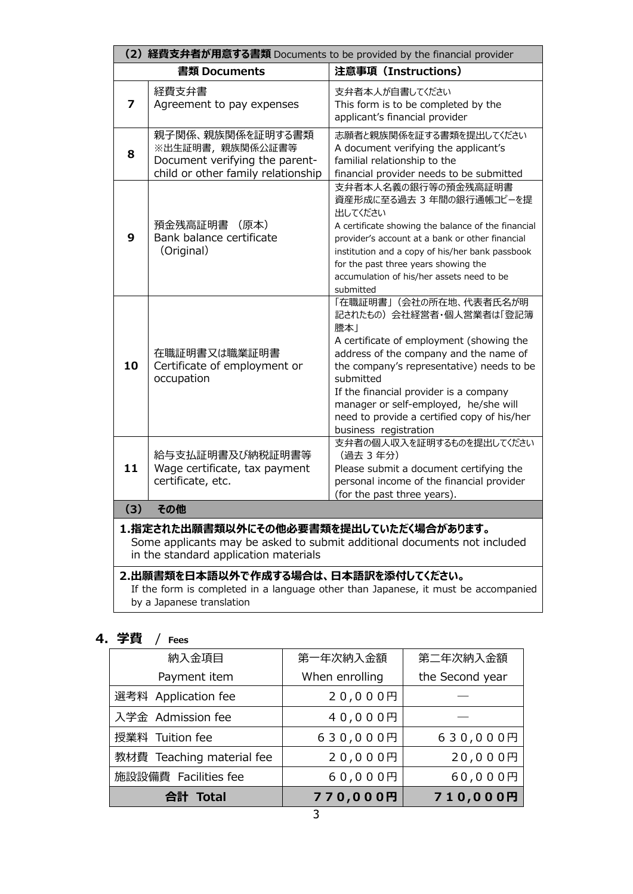| (2) 経費支弁者が用意する書類 Documents to be provided by the financial provider                                                                                         |                                                                                                             |                                                                                                                                                                                                                                                                                                                                                                      |
|-------------------------------------------------------------------------------------------------------------------------------------------------------------|-------------------------------------------------------------------------------------------------------------|----------------------------------------------------------------------------------------------------------------------------------------------------------------------------------------------------------------------------------------------------------------------------------------------------------------------------------------------------------------------|
|                                                                                                                                                             | 書類 Documents                                                                                                | 注意事項 (Instructions)                                                                                                                                                                                                                                                                                                                                                  |
| 7                                                                                                                                                           | 経費支弁書<br>Agreement to pay expenses                                                                          | 支弁者本人が自書してください<br>This form is to be completed by the<br>applicant's financial provider                                                                                                                                                                                                                                                                              |
| 8                                                                                                                                                           | 親子関係、親族関係を証明する書類<br>※出生証明書,親族関係公証書等<br>Document verifying the parent-<br>child or other family relationship | 志願者と親族関係を証する書類を提出してください<br>A document verifying the applicant's<br>familial relationship to the<br>financial provider needs to be submitted                                                                                                                                                                                                                          |
| 9                                                                                                                                                           | 預金残高証明書<br>(原本)<br>Bank balance certificate<br>(Original)                                                   | 支弁者本人名義の銀行等の預金残高証明書<br>資産形成に至る過去 3 年間の銀行通帳コピーを提<br>出してください<br>A certificate showing the balance of the financial<br>provider's account at a bank or other financial<br>institution and a copy of his/her bank passbook<br>for the past three years showing the<br>accumulation of his/her assets need to be<br>submitted                                             |
| 10                                                                                                                                                          | 在職証明書又は職業証明書<br>Certificate of employment or<br>occupation                                                  | 「在職証明書」(会社の所在地、代表者氏名が明<br>記されたもの) 会社経営者・個人営業者は「登記簿<br>謄本」<br>A certificate of employment (showing the<br>address of the company and the name of<br>the company's representative) needs to be<br>submitted<br>If the financial provider is a company<br>manager or self-employed, he/she will<br>need to provide a certified copy of his/her<br>business registration |
| 11                                                                                                                                                          | 給与支払証明書及び納税証明書等<br>Wage certificate, tax payment<br>certificate, etc.                                       | 支弁者の個人収入を証明するものを提出してください<br>(過去 3 年分)<br>Please submit a document certifying the<br>personal income of the financial provider<br>(for the past three years).                                                                                                                                                                                                         |
| (3)                                                                                                                                                         | その他                                                                                                         |                                                                                                                                                                                                                                                                                                                                                                      |
| 1.指定された出願書類以外にその他必要書類を提出していただく場合があります。<br>Some applicants may be asked to submit additional documents not included<br>in the standard application materials |                                                                                                             |                                                                                                                                                                                                                                                                                                                                                                      |
| 2.出願書類を日本語以外で作成する場合は、日本語訳を添付してください。<br>If the form is completed in a language other than Japanese, it must be accompanied                                   |                                                                                                             |                                                                                                                                                                                                                                                                                                                                                                      |

by a Japanese translation

## **4.学費** / **Fees**

| 納入金項目                     | 第一年次納入金額       | 第二年次納入金額        |
|---------------------------|----------------|-----------------|
| Payment item              | When enrolling | the Second year |
| 選考料 Application fee       | 20,000円        |                 |
| 入学金 Admission fee         | 40,000円        |                 |
| 授業料 Tuition fee           | 630,000円       | 630,000円        |
| 教材費 Teaching material fee | 20,000円        | 20,000円         |
| 施設設備費 Facilities fee      | 60,000円        | 60,000円         |
| 合計 Total                  | 770,000円       | 710,000円        |